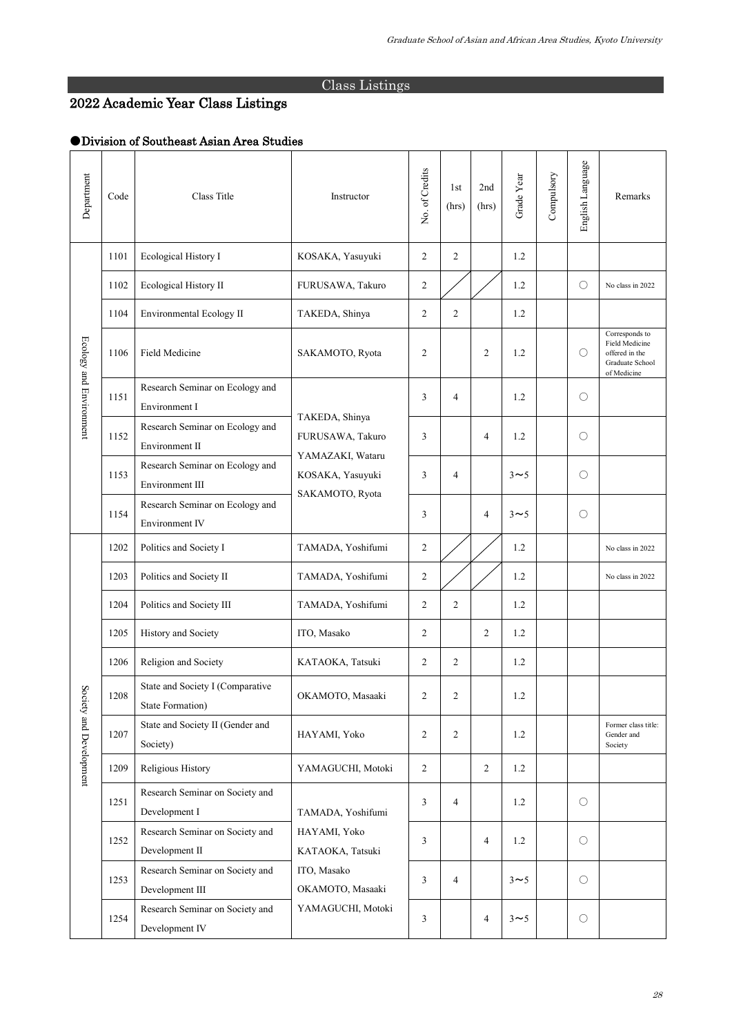## Class Listings

## 2022 Academic Year Class Listings

## ●Division of Southeast Asian Area Studies

| Department                  | Code | Class Title                                          | Instructor                                                                                    | No. of Credits | 1st<br>(hrs)   | 2nd<br>(hrs)   | Grade Year | Compulsory | English Language    | Remarks                                                                              |
|-----------------------------|------|------------------------------------------------------|-----------------------------------------------------------------------------------------------|----------------|----------------|----------------|------------|------------|---------------------|--------------------------------------------------------------------------------------|
| Ecology and Environment     | 1101 | Ecological History I                                 | KOSAKA, Yasuyuki                                                                              | $\mathfrak{2}$ | $\overline{2}$ |                | 1.2        |            |                     |                                                                                      |
|                             | 1102 | Ecological History II                                | FURUSAWA, Takuro                                                                              | $\overline{c}$ |                |                | 1.2        |            | $\circ$             | No class in 2022                                                                     |
|                             | 1104 | Environmental Ecology II                             | TAKEDA, Shinya                                                                                | $\mathfrak{2}$ | $\overline{2}$ |                | 1.2        |            |                     |                                                                                      |
|                             | 1106 | Field Medicine                                       | SAKAMOTO, Ryota                                                                               | $\overline{2}$ |                | $\overline{c}$ | 1.2        |            | $\bigcirc$          | Corresponds to<br>Field Medicine<br>offered in the<br>Graduate School<br>of Medicine |
|                             | 1151 | Research Seminar on Ecology and<br>Environment I     | TAKEDA, Shinya<br>FURUSAWA, Takuro<br>YAMAZAKI, Wataru<br>KOSAKA, Yasuyuki<br>SAKAMOTO, Ryota | 3              | 4              |                | 1.2        |            | $\circlearrowright$ |                                                                                      |
|                             | 1152 | Research Seminar on Ecology and<br>Environment II    |                                                                                               | 3              |                | 4              | 1.2        |            | $\circ$             |                                                                                      |
|                             | 1153 | Research Seminar on Ecology and<br>Environment III   |                                                                                               | 3              | $\overline{4}$ |                | $3 \sim 5$ |            | $\bigcirc$          |                                                                                      |
|                             | 1154 | Research Seminar on Ecology and<br>Environment IV    |                                                                                               | 3              |                | 4              | $3 \sim 5$ |            | $\circlearrowright$ |                                                                                      |
| Soci<br>ety and Development | 1202 | Politics and Society I                               | TAMADA, Yoshifumi                                                                             | $\mathfrak{2}$ |                |                | 1.2        |            |                     | No class in 2022                                                                     |
|                             | 1203 | Politics and Society II                              | TAMADA, Yoshifumi                                                                             | 2              |                |                | 1.2        |            |                     | No class in 2022                                                                     |
|                             | 1204 | Politics and Society III                             | TAMADA, Yoshifumi                                                                             | $\overline{c}$ | $\overline{2}$ |                | 1.2        |            |                     |                                                                                      |
|                             | 1205 | History and Society                                  | ITO, Masako                                                                                   | 2              |                | $\overline{c}$ | 1.2        |            |                     |                                                                                      |
|                             | 1206 | Religion and Society                                 | KATAOKA, Tatsuki                                                                              | $\overline{c}$ | $\overline{2}$ |                | 1.2        |            |                     |                                                                                      |
|                             | 1208 | State and Society I (Comparative<br>State Formation) | OKAMOTO, Masaaki                                                                              | 2              | $\overline{c}$ |                | 1.2        |            |                     |                                                                                      |
|                             | 1207 | State and Society II (Gender and<br>Society)         | HAYAMI, Yoko                                                                                  | 2              | $\overline{2}$ |                | 1.2        |            |                     | Former class title:<br>Gender and<br>Society                                         |
|                             | 1209 | Religious History                                    | YAMAGUCHI, Motoki                                                                             | $\overline{2}$ |                | 2              | 1.2        |            |                     |                                                                                      |
|                             | 1251 | Research Seminar on Society and<br>Development I     | TAMADA, Yoshifumi                                                                             | 3              | $\overline{4}$ |                | 1.2        |            | $\circ$             |                                                                                      |
|                             | 1252 | Research Seminar on Society and<br>Development II    | HAYAMI, Yoko<br>KATAOKA, Tatsuki                                                              | 3              |                | 4              | 1.2        |            | $\circ$             |                                                                                      |
|                             | 1253 | Research Seminar on Society and<br>Development III   | ITO, Masako<br>OKAMOTO, Masaaki                                                               | 3              | $\overline{4}$ |                | $3 \sim 5$ |            | $\circ$             |                                                                                      |
|                             | 1254 | Research Seminar on Society and<br>Development IV    | YAMAGUCHI, Motoki                                                                             | 3              |                | 4              | $3\sim5$   |            | $\circ$             |                                                                                      |